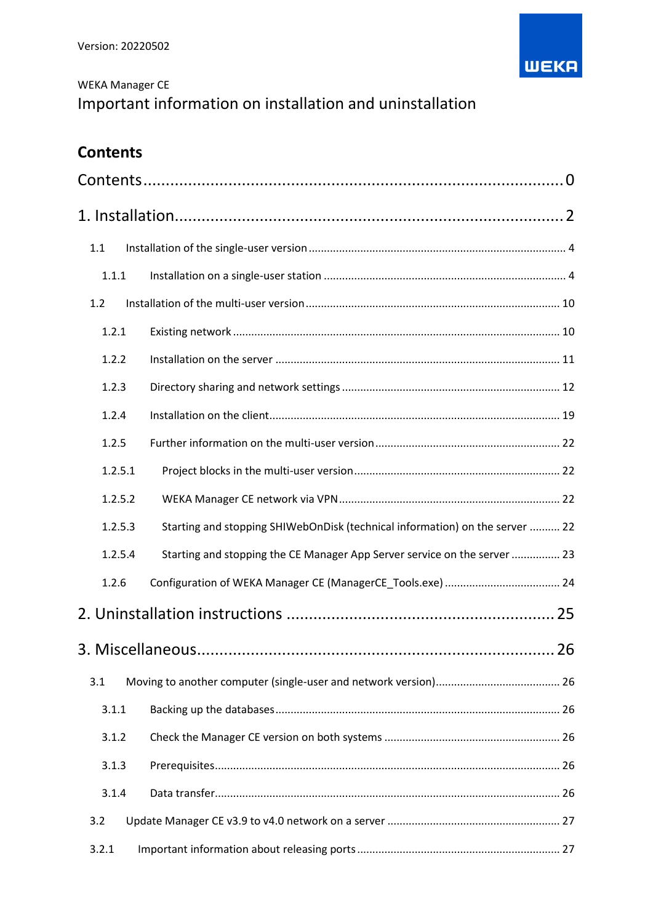

# WEKA Manager CE Important information on installation and uninstallation

# <span id="page-0-0"></span>**Contents**

| 1.1     |                                                                              |  |
|---------|------------------------------------------------------------------------------|--|
| 1.1.1   |                                                                              |  |
| 1.2     |                                                                              |  |
| 1.2.1   |                                                                              |  |
| 1.2.2   |                                                                              |  |
| 1.2.3   |                                                                              |  |
| 1.2.4   |                                                                              |  |
| 1.2.5   |                                                                              |  |
| 1.2.5.1 |                                                                              |  |
| 1.2.5.2 |                                                                              |  |
| 1.2.5.3 | Starting and stopping SHIWebOnDisk (technical information) on the server  22 |  |
| 1.2.5.4 | Starting and stopping the CE Manager App Server service on the server  23    |  |
| 1.2.6   |                                                                              |  |
|         |                                                                              |  |
|         |                                                                              |  |
| 3.1     |                                                                              |  |
| 3.1.1   |                                                                              |  |
| 3.1.2   |                                                                              |  |
| 3.1.3   |                                                                              |  |
| 3.1.4   |                                                                              |  |
| 3.2     |                                                                              |  |
| 3.2.1   |                                                                              |  |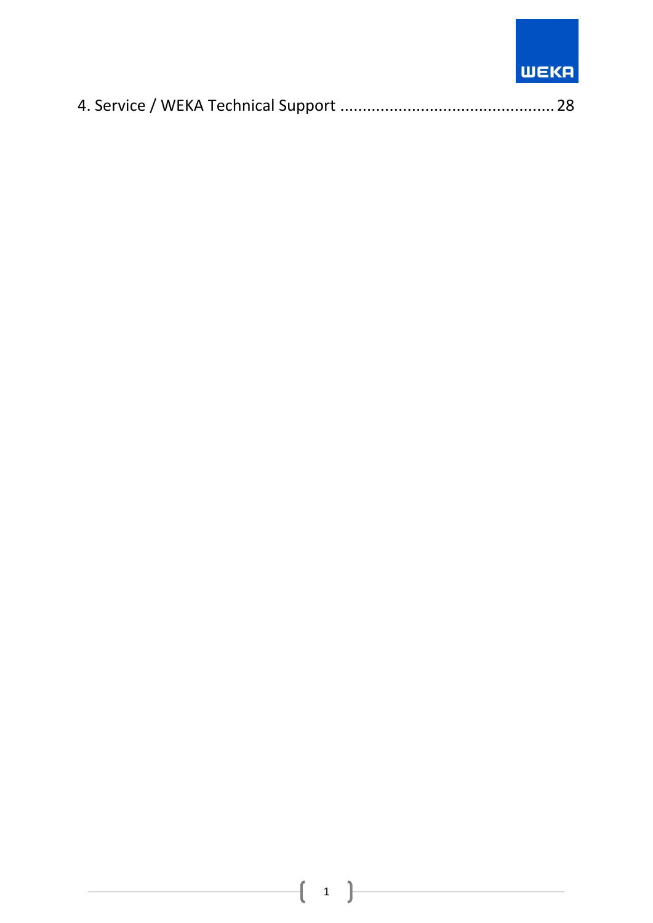# **WEKA**

|--|--|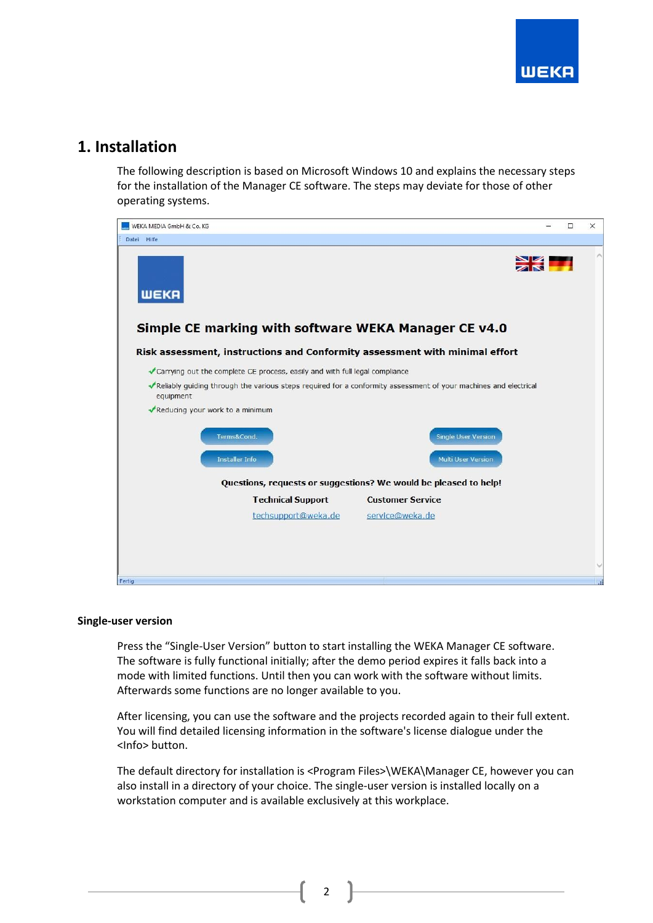

## <span id="page-2-0"></span>**1. Installation**

The following description is based on Microsoft Windows 10 and explains the necessary steps for the installation of the Manager CE software. The steps may deviate for those of other operating systems.



#### **Single-user version**

Press the "Single-User Version" button to start installing the WEKA Manager CE software. The software is fully functional initially; after the demo period expires it falls back into a mode with limited functions. Until then you can work with the software without limits. Afterwards some functions are no longer available to you.

After licensing, you can use the software and the projects recorded again to their full extent. You will find detailed licensing information in the software's license dialogue under the <Info> button.

The default directory for installation is <Program Files>\WEKA\Manager CE, however you can also install in a directory of your choice. The single-user version is installed locally on a workstation computer and is available exclusively at this workplace.

2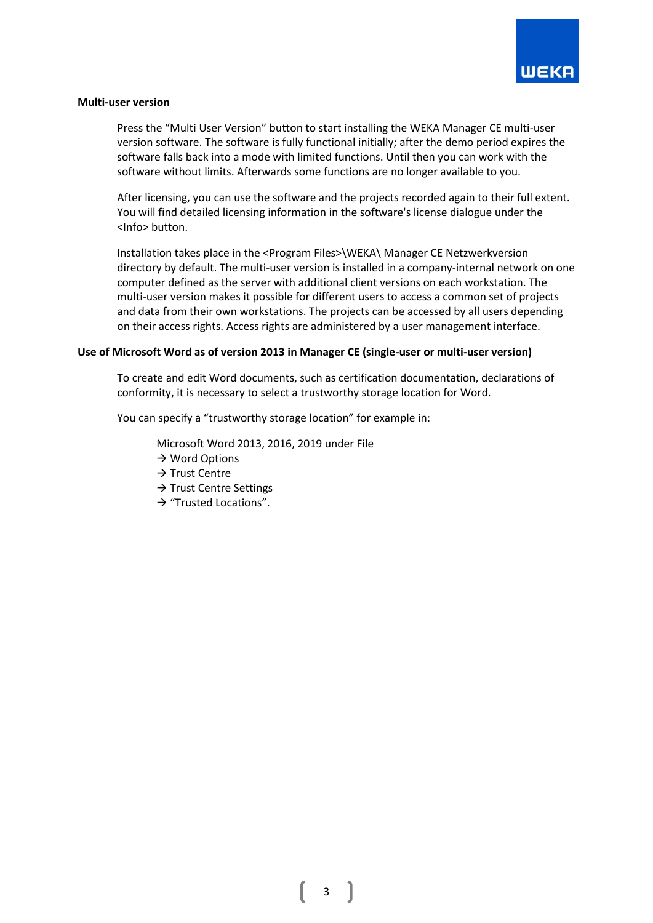

#### **Multi-user version**

Press the "Multi User Version" button to start installing the WEKA Manager CE multi-user version software. The software is fully functional initially; after the demo period expires the software falls back into a mode with limited functions. Until then you can work with the software without limits. Afterwards some functions are no longer available to you.

After licensing, you can use the software and the projects recorded again to their full extent. You will find detailed licensing information in the software's license dialogue under the <Info> button.

Installation takes place in the <Program Files>\WEKA\ Manager CE Netzwerkversion directory by default. The multi-user version is installed in a company-internal network on one computer defined as the server with additional client versions on each workstation. The multi-user version makes it possible for different users to access a common set of projects and data from their own workstations. The projects can be accessed by all users depending on their access rights. Access rights are administered by a user management interface.

#### **Use of Microsoft Word as of version 2013 in Manager CE (single-user or multi-user version)**

To create and edit Word documents, such as certification documentation, declarations of conformity, it is necessary to select a trustworthy storage location for Word.

You can specify a "trustworthy storage location" for example in:

Microsoft Word 2013, 2016, 2019 under File

- $\rightarrow$  Word Options
- → Trust Centre
- → Trust Centre Settings
- → "Trusted Locations".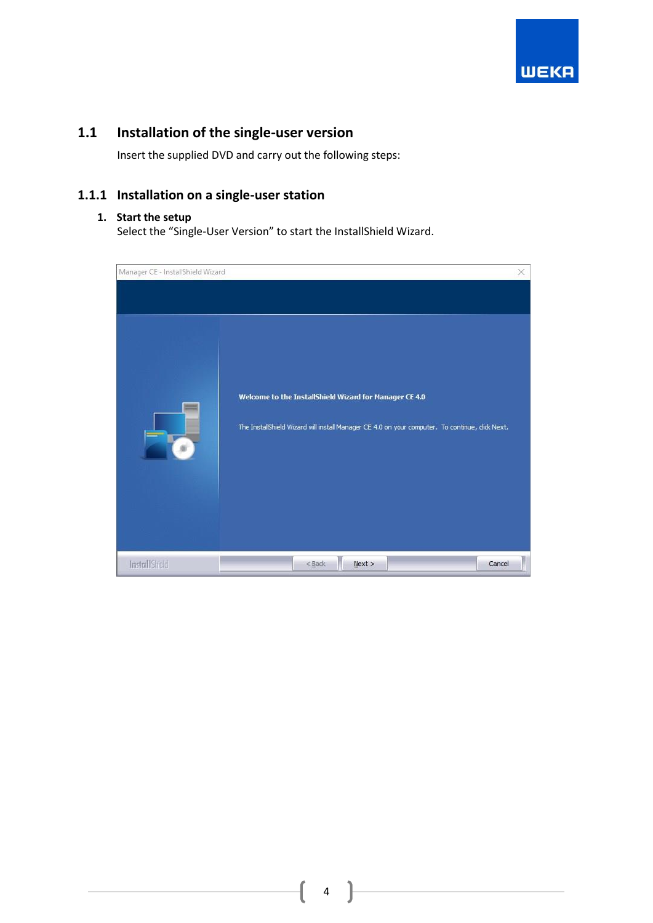

# <span id="page-4-0"></span>**1.1 Installation of the single-user version**

Insert the supplied DVD and carry out the following steps:

## <span id="page-4-1"></span>**1.1.1 Installation on a single-user station**

#### **1. Start the setup**

Select the "Single-User Version" to start the InstallShield Wizard.

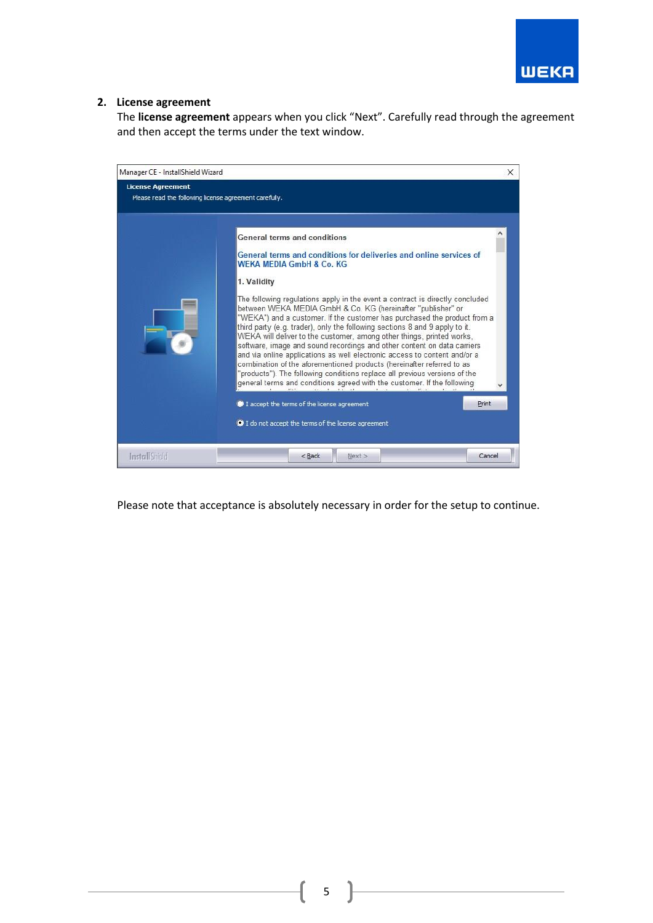

## **2. License agreement**

The **license agreement** appears when you click "Next". Carefully read through the agreement and then accept the terms under the text window.



Please note that acceptance is absolutely necessary in order for the setup to continue.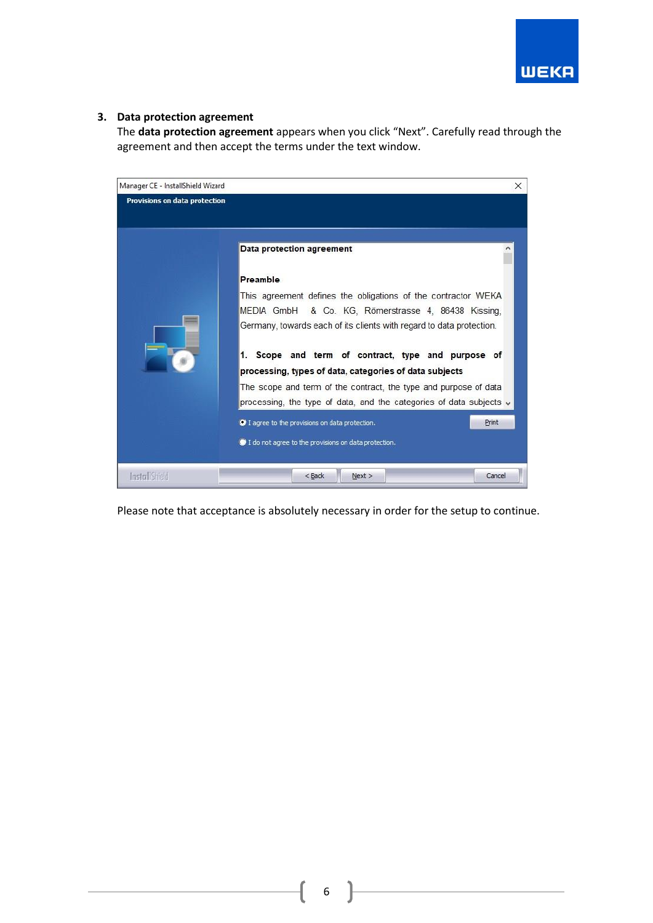

## **3. Data protection agreement**

The **data protection agreement** appears when you click "Next". Carefully read through the agreement and then accept the terms under the text window.



Please note that acceptance is absolutely necessary in order for the setup to continue.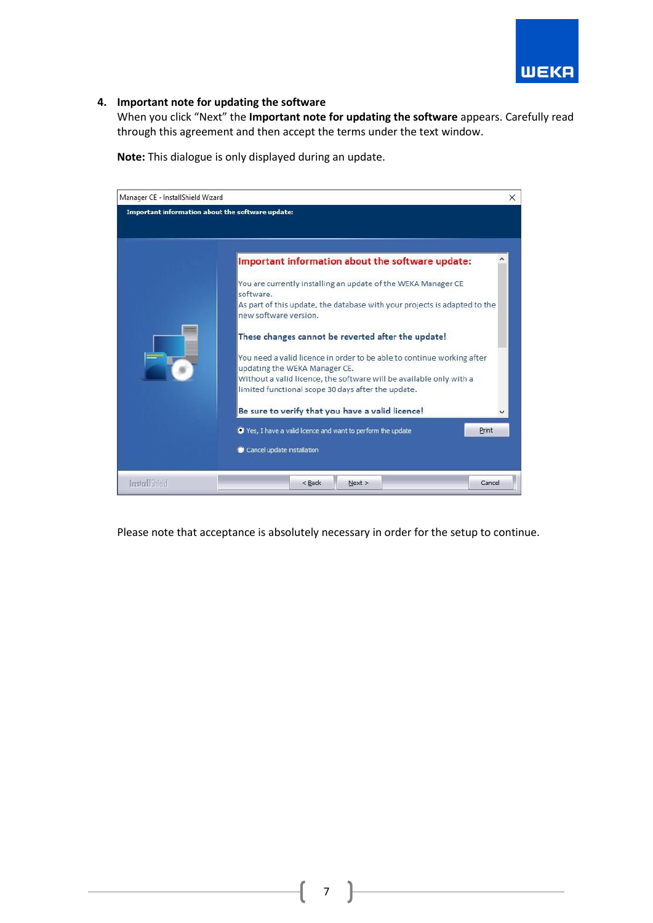

## **4. Important note for updating the software**

When you click "Next" the **Important note for updating the software** appears. Carefully read through this agreement and then accept the terms under the text window.

**Note:** This dialogue is only displayed during an update.

| Manager CE - InstallShield Wizard                |                                                                                                                                                                                                                                                                                                                                                                                      | ×      |
|--------------------------------------------------|--------------------------------------------------------------------------------------------------------------------------------------------------------------------------------------------------------------------------------------------------------------------------------------------------------------------------------------------------------------------------------------|--------|
| Important information about the software update: |                                                                                                                                                                                                                                                                                                                                                                                      |        |
|                                                  | Important information about the software update:<br>You are currently installing an update of the WEKA Manager CE<br>software.<br>As part of this update, the database with your projects is adapted to the<br>new software version.<br>These changes cannot be reverted after the update!                                                                                           |        |
|                                                  | You need a valid licence in order to be able to continue working after<br>updating the WEKA Manager CE.<br>Without a valid licence, the software will be available only with a<br>limited functional scope 30 days after the update.<br>Be sure to verify that you have a valid licence!<br>Yes, I have a valid licence and want to perform the update<br>Cancel update installation | Print  |
| Install Shield                                   | Next ><br>$<$ Back                                                                                                                                                                                                                                                                                                                                                                   | Cancel |

Please note that acceptance is absolutely necessary in order for the setup to continue.

7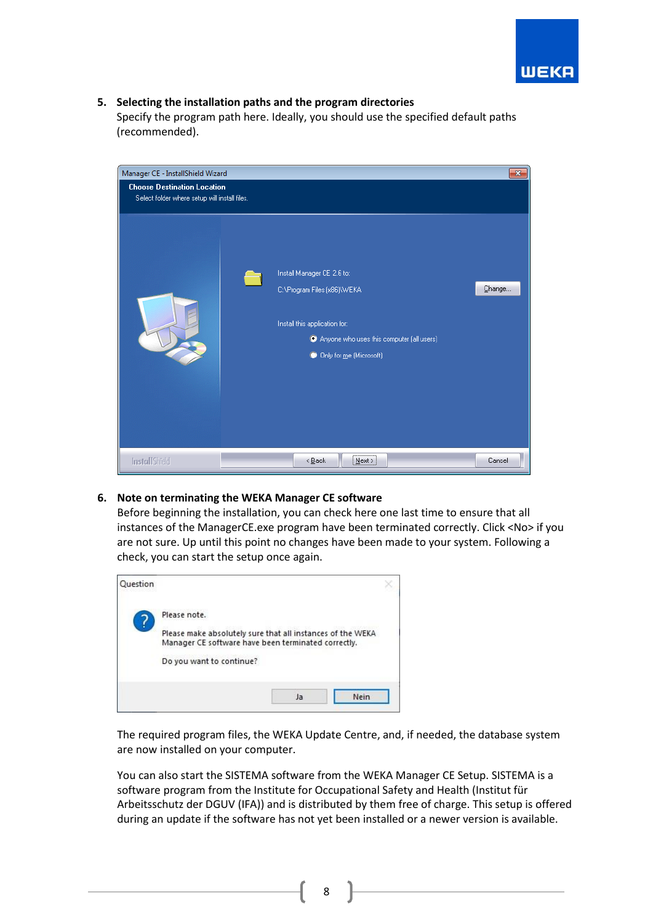

## **5. Selecting the installation paths and the program directories**

Specify the program path here. Ideally, you should use the specified default paths (recommended).



## **6. Note on terminating the WEKA Manager CE software**

Before beginning the installation, you can check here one last time to ensure that all instances of the ManagerCE.exe program have been terminated correctly. Click <No> if you are not sure. Up until this point no changes have been made to your system. Following a check, you can start the setup once again.



The required program files, the WEKA Update Centre, and, if needed, the database system are now installed on your computer.

You can also start the SISTEMA software from the WEKA Manager CE Setup. SISTEMA is a software program from the Institute for Occupational Safety and Health (Institut für Arbeitsschutz der DGUV (IFA)) and is distributed by them free of charge. This setup is offered during an update if the software has not yet been installed or a newer version is available.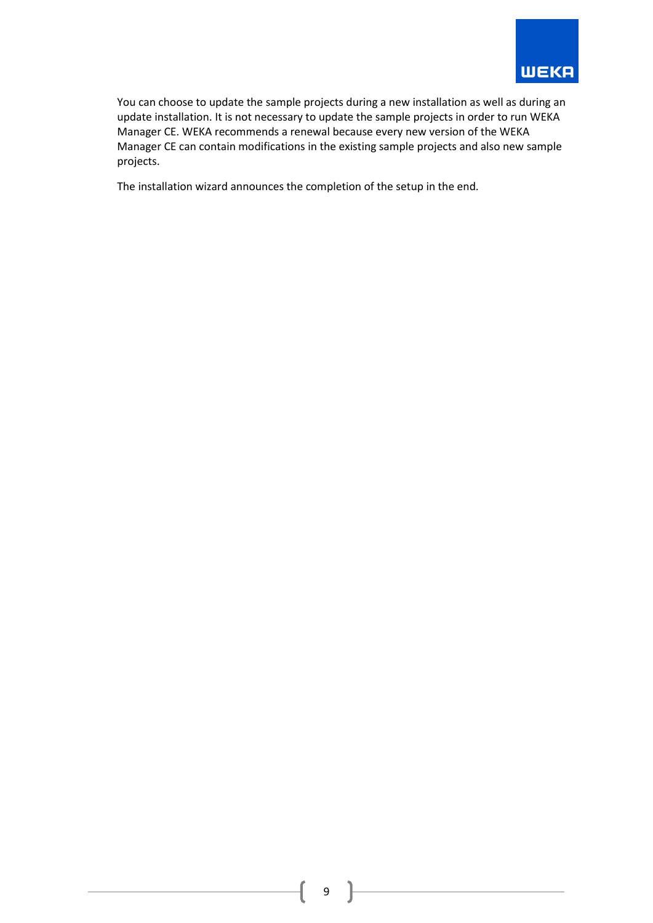

You can choose to update the sample projects during a new installation as well as during an update installation. It is not necessary to update the sample projects in order to run WEKA Manager CE. WEKA recommends a renewal because every new version of the WEKA Manager CE can contain modifications in the existing sample projects and also new sample projects.

The installation wizard announces the completion of the setup in the end.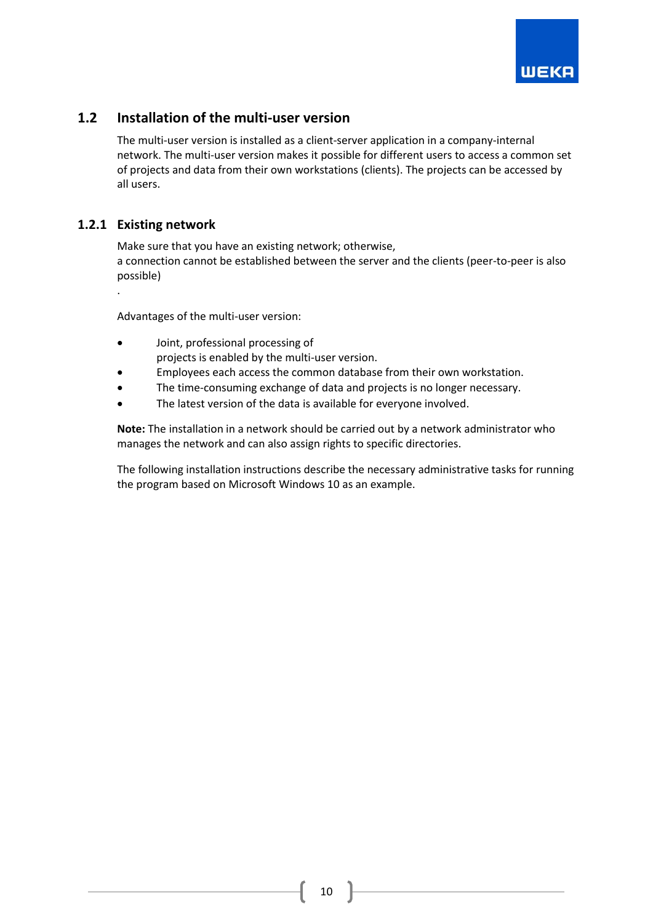

## <span id="page-10-0"></span>**1.2 Installation of the multi-user version**

The multi-user version is installed as a client-server application in a company-internal network. The multi-user version makes it possible for different users to access a common set of projects and data from their own workstations (clients). The projects can be accessed by all users.

## <span id="page-10-1"></span>**1.2.1 Existing network**

Make sure that you have an existing network; otherwise, a connection cannot be established between the server and the clients (peer-to-peer is also possible)

.

Advantages of the multi-user version:

- Joint, professional processing of projects is enabled by the multi-user version.
- Employees each access the common database from their own workstation.
- The time-consuming exchange of data and projects is no longer necessary.
- The latest version of the data is available for everyone involved.

**Note:** The installation in a network should be carried out by a network administrator who manages the network and can also assign rights to specific directories.

The following installation instructions describe the necessary administrative tasks for running the program based on Microsoft Windows 10 as an example.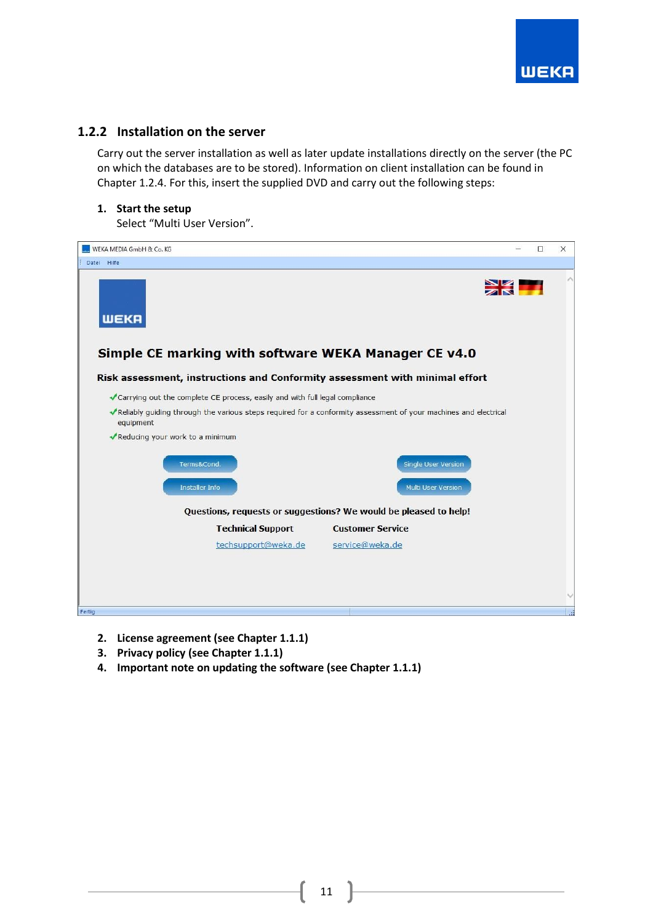

## <span id="page-11-0"></span>**1.2.2 Installation on the server**

Carry out the server installation as well as later update installations directly on the server (the PC on which the databases are to be stored). Information on client installation can be found in Chapter 1.2.4. For this, insert the supplied DVD and carry out the following steps:

## **1. Start the setup**

Select "Multi User Version".



- **2. License agreement (see Chapter 1.1.1)**
- **3. Privacy policy (see Chapter 1.1.1)**
- **4. Important note on updating the software (see Chapter 1.1.1)**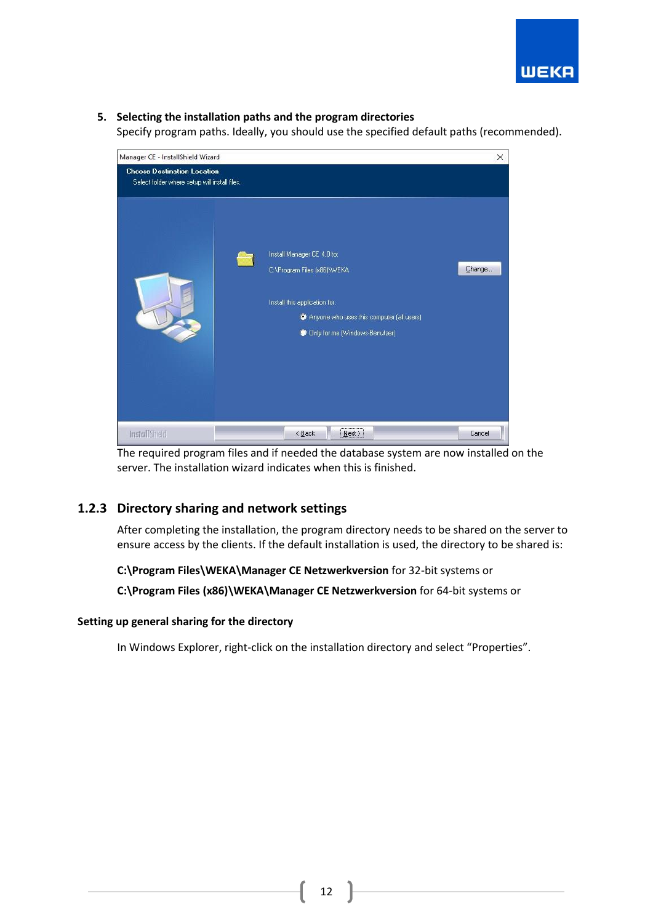

## **5. Selecting the installation paths and the program directories**

Specify program paths. Ideally, you should use the specified default paths (recommended).



The required program files and if needed the database system are now installed on the server. The installation wizard indicates when this is finished.

## <span id="page-12-0"></span>**1.2.3 Directory sharing and network settings**

After completing the installation, the program directory needs to be shared on the server to ensure access by the clients. If the default installation is used, the directory to be shared is:

## **C:\Program Files\WEKA\Manager CE Netzwerkversion** for 32-bit systems or

**C:\Program Files (x86)\WEKA\Manager CE Netzwerkversion** for 64-bit systems or

## **Setting up general sharing for the directory**

In Windows Explorer, right-click on the installation directory and select "Properties".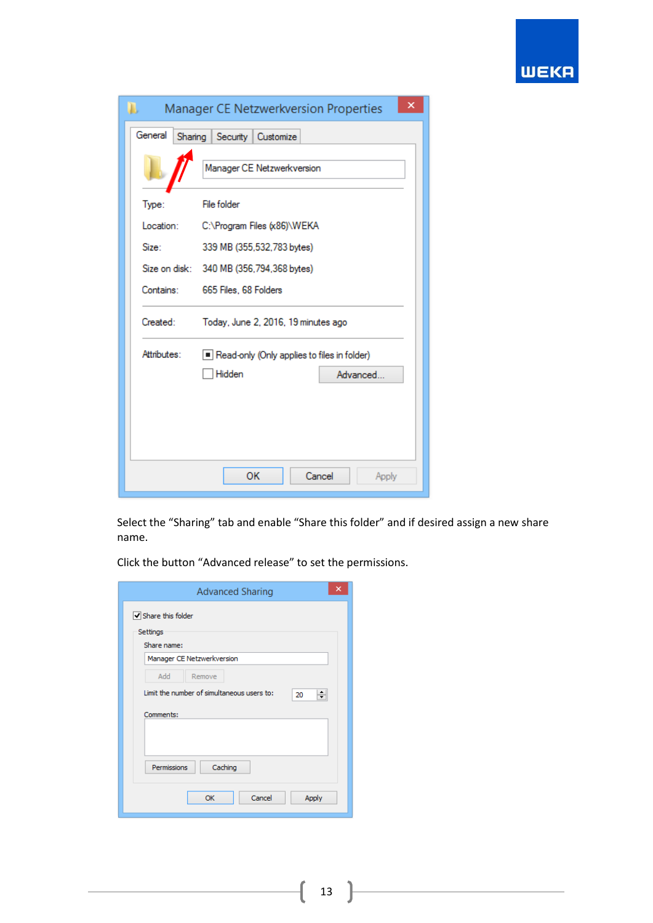

| Ъ           | Manager CE Netzwerkversion Properties       |                 |  |
|-------------|---------------------------------------------|-----------------|--|
| General     | Sharing Security Customize                  |                 |  |
|             | Manager CE Netzwerkversion                  |                 |  |
| Type:       | <b>File folder</b>                          |                 |  |
| Location:   | C:\Program Files (x86)\WEKA                 |                 |  |
| Size:       | 339 MB (355,532,783 bytes)                  |                 |  |
|             | Size on disk: 340 MB (356,794,368 bytes)    |                 |  |
| Contains:   | 665 Files, 68 Folders                       |                 |  |
| Created:    | Today, June 2, 2016, 19 minutes ago         |                 |  |
| Attributes: | Read-only (Only applies to files in folder) |                 |  |
|             | Hidden                                      | Advanced        |  |
|             |                                             |                 |  |
|             |                                             |                 |  |
|             |                                             |                 |  |
|             | OK                                          | Cancel<br>Apply |  |

Select the "Sharing" tab and enable "Share this folder" and if desired assign a new share name.

Click the button "Advanced release" to set the permissions.

| ×<br><b>Advanced Sharing</b>                          |
|-------------------------------------------------------|
| Share this folder                                     |
| Settings<br>Share name:                               |
| Manager CE Netzwerkversion                            |
| Add<br>Remove                                         |
| Limit the number of simultaneous users to:<br>÷<br>20 |
| Comments:                                             |
|                                                       |
|                                                       |
| Caching<br>Permissions                                |
|                                                       |
| Cancel<br>Apply<br><b>OK</b>                          |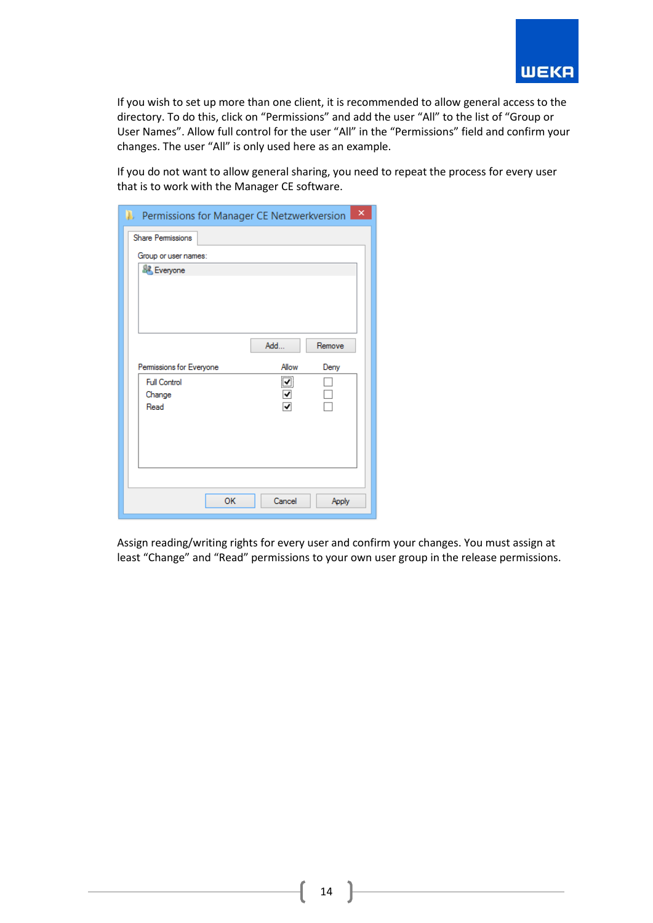

If you wish to set up more than one client, it is recommended to allow general access to the directory. To do this, click on "Permissions" and add the user "All" to the list of "Group or User Names". Allow full control for the user "All" in the "Permissions" field and confirm your changes. The user "All" is only used here as an example.

If you do not want to allow general sharing, you need to repeat the process for every user that is to work with the Manager CE software.

| <b>1.</b> Permissions for Manager CE Netzwerkversion <b>X</b> |    |        |        |
|---------------------------------------------------------------|----|--------|--------|
| <b>Share Permissions</b>                                      |    |        |        |
| Group or user names:                                          |    |        |        |
| <b>L</b> Everyone                                             |    |        |        |
|                                                               |    |        |        |
|                                                               |    |        |        |
|                                                               |    |        |        |
|                                                               |    |        |        |
|                                                               |    | Add    | Remove |
| Permissions for Everyone                                      |    | Allow  | Deny   |
| <b>Full Control</b>                                           |    | ☑      |        |
| Change                                                        |    | ✔      |        |
| Read                                                          |    | √      |        |
|                                                               |    |        |        |
|                                                               |    |        |        |
|                                                               |    |        |        |
|                                                               |    |        |        |
|                                                               |    |        |        |
|                                                               | OK | Cancel | Apply  |

Assign reading/writing rights for every user and confirm your changes. You must assign at least "Change" and "Read" permissions to your own user group in the release permissions.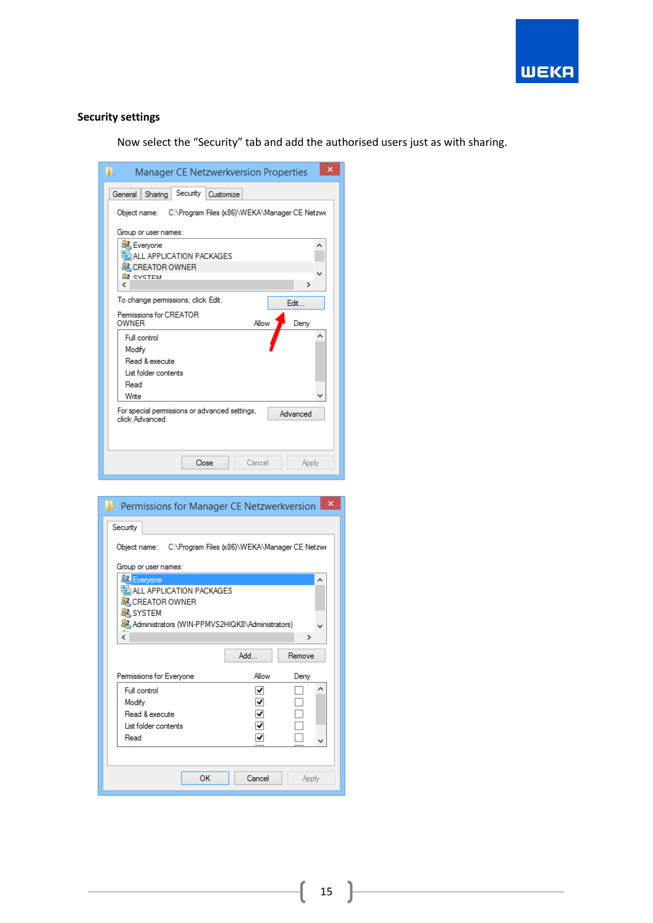

## **Security settings**

Now select the "Security" tab and add the authorised users just as with sharing.

| Manager CE Netzwerkversion Properties<br>ш.                                 | × |
|-----------------------------------------------------------------------------|---|
| Security<br>General<br>Sharing<br>Customize                                 |   |
| Object name: C:\Program Files (x86)\WEKA\Manager CE Netzwe                  |   |
| Group or user names:                                                        |   |
| Everyone<br>л                                                               |   |
| ALL APPLICATION PACKAGES                                                    |   |
| <b>SZ CREATOR OWNER</b>                                                     |   |
| <b>SE CYCTEM</b>                                                            |   |
| Ł<br>Y.                                                                     |   |
| To change permissions, click Edit.<br>Fdit.                                 |   |
| Permissions for CREATOR<br><b>OWNER</b><br>Allow<br>Denv                    |   |
| Full control                                                                |   |
| Modify                                                                      |   |
| Read & execute                                                              |   |
| List folder contents                                                        |   |
| Read                                                                        |   |
| Write                                                                       |   |
| For special permissions or advanced settings,<br>Advanced<br>click Advanced |   |
|                                                                             |   |
| Close<br>Cancel<br>Apply                                                    |   |

| <b>Permissions for Manager CE Netzwerkversion</b>          |        | ×      |
|------------------------------------------------------------|--------|--------|
| Security                                                   |        |        |
| Object name: C:\Program Files (x86)\WEKA\Manager CE Netzwe |        |        |
|                                                            |        |        |
| Group or user names:<br>Everyone                           |        | ۸      |
| ALL APPLICATION PACKAGES                                   |        |        |
| <b>SA CREATOR OWNER</b>                                    |        |        |
| <b>SYSTEM</b>                                              |        |        |
| Administrators (WIN-PPMVS2HIQK8\Administrators)<br>Ł       |        |        |
|                                                            |        | ≯      |
|                                                            | Add    | Remove |
| Permissions for Everyone                                   | Allow  | Deny   |
| Full control                                               | ↵      | ^      |
| Modify                                                     |        |        |
| Read & execute                                             |        |        |
| List folder contents                                       |        |        |
| Read                                                       |        | u      |
|                                                            |        |        |
| OK                                                         | Cancel | Apply  |
|                                                            |        |        |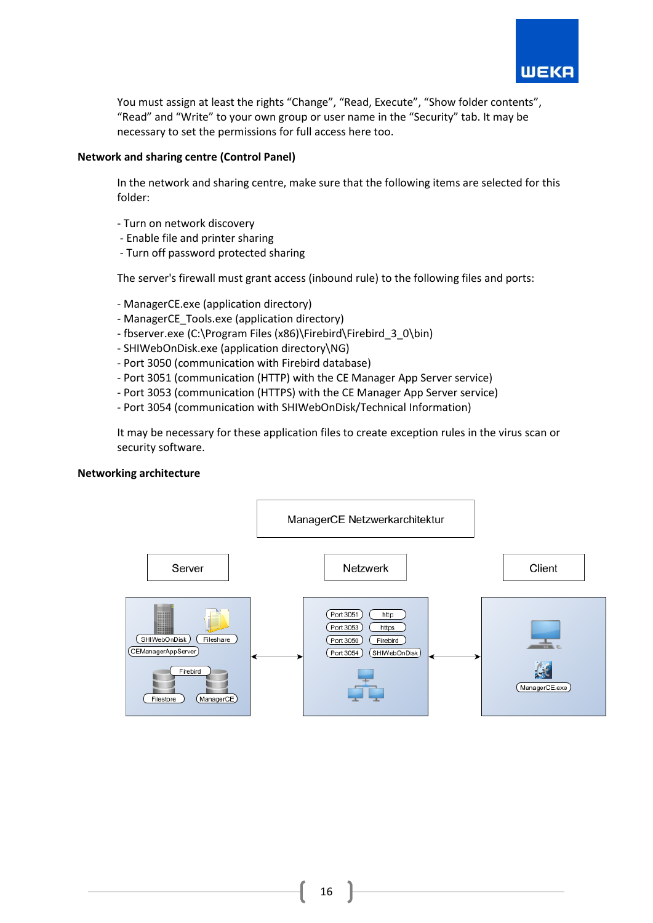

You must assign at least the rights "Change", "Read, Execute", "Show folder contents", "Read" and "Write" to your own group or user name in the "Security" tab. It may be necessary to set the permissions for full access here too.

## **Network and sharing centre (Control Panel)**

In the network and sharing centre, make sure that the following items are selected for this folder:

- Turn on network discovery
- Enable file and printer sharing
- Turn off password protected sharing

The server's firewall must grant access (inbound rule) to the following files and ports:

- ManagerCE.exe (application directory)
- ManagerCE\_Tools.exe (application directory)
- fbserver.exe (C:\Program Files (x86)\Firebird\Firebird\_3\_0\bin)
- SHIWebOnDisk.exe (application directory\NG)
- Port 3050 (communication with Firebird database)
- Port 3051 (communication (HTTP) with the CE Manager App Server service)
- Port 3053 (communication (HTTPS) with the CE Manager App Server service)
- Port 3054 (communication with SHIWebOnDisk/Technical Information)

It may be necessary for these application files to create exception rules in the virus scan or security software.

## **Networking architecture**

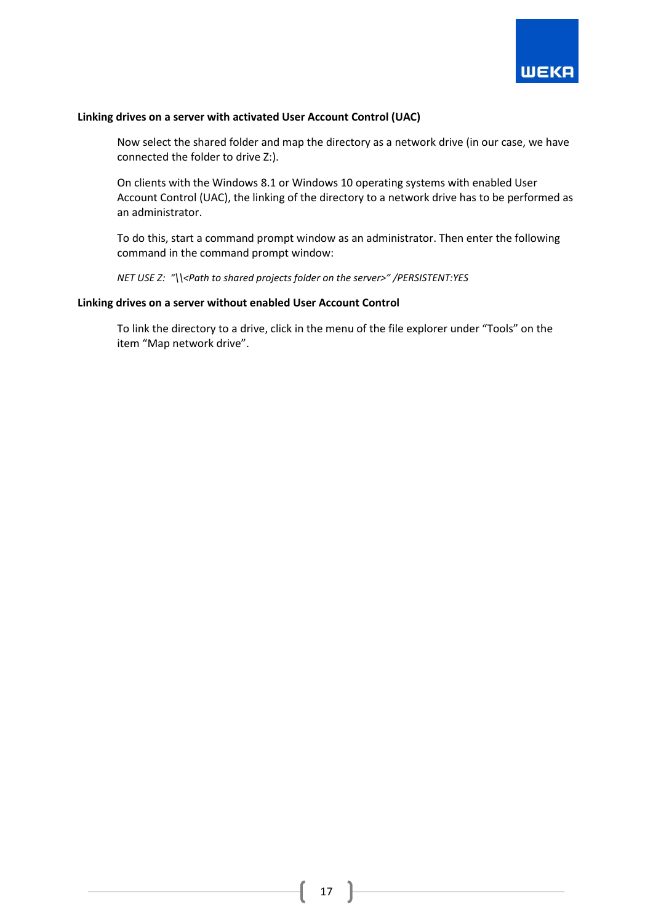

#### **Linking drives on a server with activated User Account Control (UAC)**

Now select the shared folder and map the directory as a network drive (in our case, we have connected the folder to drive Z:).

On clients with the Windows 8.1 or Windows 10 operating systems with enabled User Account Control (UAC), the linking of the directory to a network drive has to be performed as an administrator.

To do this, start a command prompt window as an administrator. Then enter the following command in the command prompt window:

*NET USE Z: "\\<Path to shared projects folder on the server>" /PERSISTENT:YES*

#### **Linking drives on a server without enabled User Account Control**

To link the directory to a drive, click in the menu of the file explorer under "Tools" on the item "Map network drive".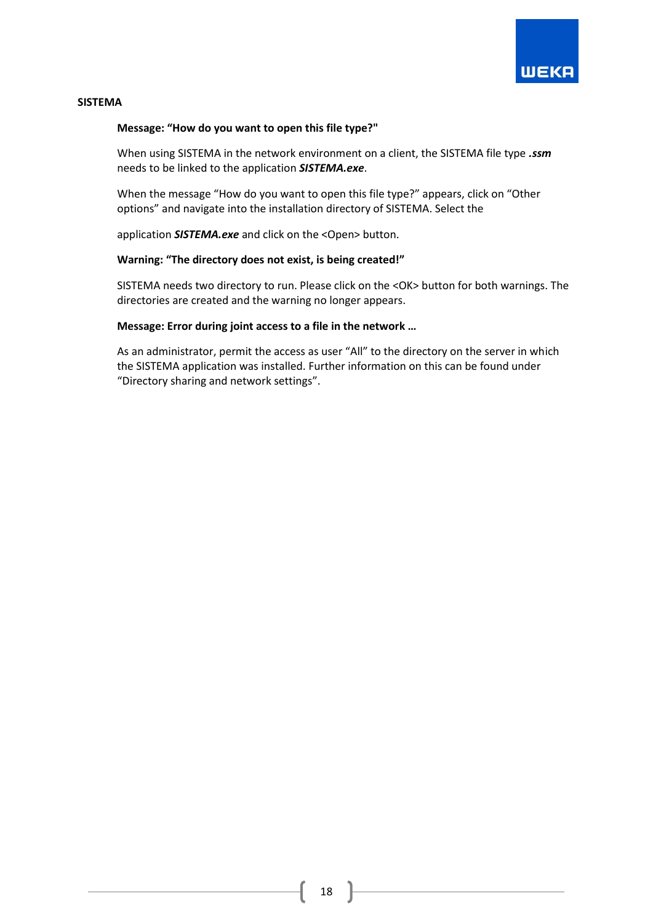

#### **SISTEMA**

#### **Message: "How do you want to open this file type?"**

When using SISTEMA in the network environment on a client, the SISTEMA file type *.ssm* needs to be linked to the application *SISTEMA.exe*.

When the message "How do you want to open this file type?" appears, click on "Other options" and navigate into the installation directory of SISTEMA. Select the

application **SISTEMA.exe** and click on the <Open> button.

#### **Warning: "The directory does not exist, is being created!"**

SISTEMA needs two directory to run. Please click on the <OK> button for both warnings. The directories are created and the warning no longer appears.

#### **Message: Error during joint access to a file in the network …**

As an administrator, permit the access as user "All" to the directory on the server in which the SISTEMA application was installed. Further information on this can be found under "Directory sharing and network settings".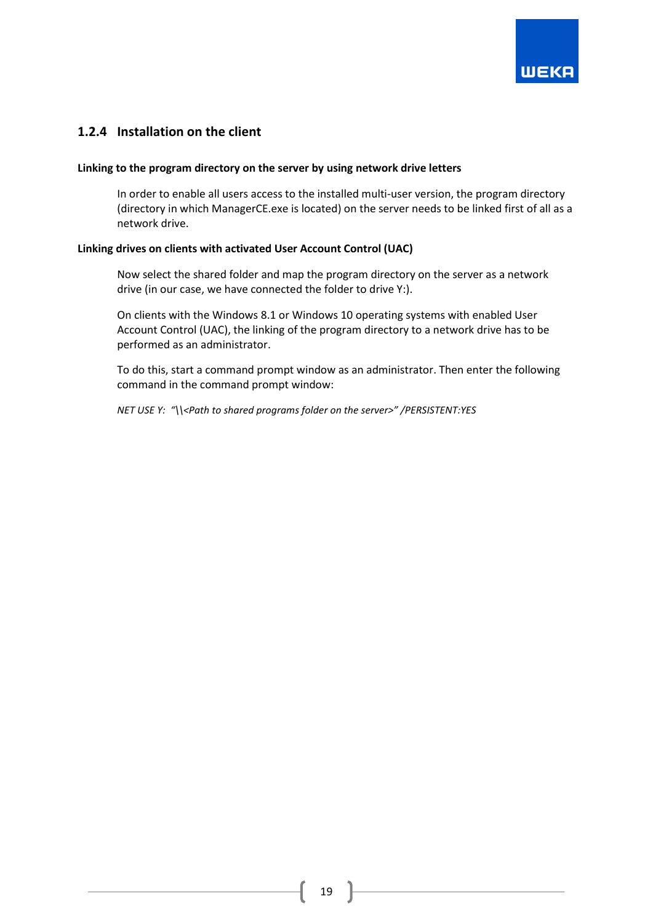

## <span id="page-19-0"></span>**1.2.4 Installation on the client**

#### **Linking to the program directory on the server by using network drive letters**

In order to enable all users access to the installed multi-user version, the program directory (directory in which ManagerCE.exe is located) on the server needs to be linked first of all as a network drive.

#### **Linking drives on clients with activated User Account Control (UAC)**

Now select the shared folder and map the program directory on the server as a network drive (in our case, we have connected the folder to drive Y:).

On clients with the Windows 8.1 or Windows 10 operating systems with enabled User Account Control (UAC), the linking of the program directory to a network drive has to be performed as an administrator.

To do this, start a command prompt window as an administrator. Then enter the following command in the command prompt window:

*NET USE Y: "\\<Path to shared programs folder on the server>" /PERSISTENT:YES*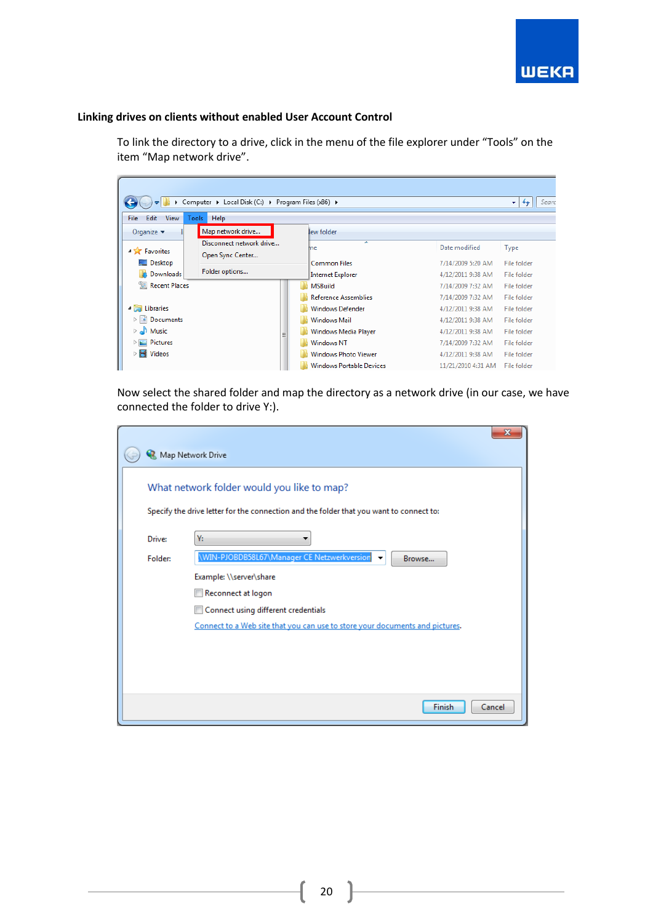

## **Linking drives on clients without enabled User Account Control**

To link the directory to a drive, click in the menu of the file explorer under "Tools" on the item "Map network drive".

| Computer > Local Disk (C:) > Program Files (x86) ><br>Searc<br>٠<br>$++$                           |                   |  |                     |                                 |                    |                    |  |  |
|----------------------------------------------------------------------------------------------------|-------------------|--|---------------------|---------------------------------|--------------------|--------------------|--|--|
| Edit<br><b>File</b><br><b>View</b>                                                                 | Tools<br>Help     |  |                     |                                 |                    |                    |  |  |
| Organize $\blacktriangledown$                                                                      | Map network drive |  |                     | lew folder                      |                    |                    |  |  |
| Disconnect network drive<br><b>4 X</b> Favorites<br>Open Sync Center<br>Desktop                    |                   |  |                     | ┻<br>me                         | Date modified      | Type               |  |  |
|                                                                                                    |                   |  | <b>Common Files</b> | 7/14/2009 5:20 AM               | File folder        |                    |  |  |
| la.<br><b>Downloads</b>                                                                            | Folder options    |  |                     | <b>Internet Explorer</b>        | 4/12/2011 9:38 AM  | File folder        |  |  |
| Recent Places                                                                                      |                   |  |                     | <b>MSBuild</b>                  | 7/14/2009 7:32 AM  | File folder        |  |  |
|                                                                                                    |                   |  |                     | <b>Reference Assemblies</b>     | 7/14/2009 7:32 AM  | File folder        |  |  |
| A Libraries                                                                                        |                   |  |                     | <b>Windows Defender</b>         | 4/12/2011 9:38 AM  | File folder        |  |  |
| ▷ 国<br>Documents                                                                                   |                   |  |                     | <b>Windows Mail</b>             | 4/12/2011 9:38 AM  | <b>File folder</b> |  |  |
| Music<br>$\triangleright$ and<br>Ξ<br>Pictures<br>$\triangleright$ $\blacksquare$<br><b>Videos</b> |                   |  |                     | Windows Media Player            | 4/12/2011 9:38 AM  | File folder        |  |  |
|                                                                                                    |                   |  |                     | <b>Windows NT</b>               | 7/14/2009 7:32 AM  | File folder        |  |  |
|                                                                                                    |                   |  |                     | <b>Windows Photo Viewer</b>     | 4/12/2011 9:38 AM  | File folder        |  |  |
|                                                                                                    |                   |  |                     | <b>Windows Portable Devices</b> | 11/21/2010 4:31 AM | File folder        |  |  |

Now select the shared folder and map the directory as a network drive (in our case, we have connected the folder to drive Y:).

|         | $\mathbf x$<br>Map Network Drive                                                        |
|---------|-----------------------------------------------------------------------------------------|
|         | What network folder would you like to map?                                              |
|         | Specify the drive letter for the connection and the folder that you want to connect to: |
| Drive:  | Υ:                                                                                      |
| Folder: | \WIN-PJOBDB58L67\Manager CE Netzwerkversion<br>Browse                                   |
|         | Example: \\server\share                                                                 |
|         | Reconnect at logon                                                                      |
|         | Connect using different credentials                                                     |
|         | Connect to a Web site that you can use to store your documents and pictures.            |
|         |                                                                                         |
|         |                                                                                         |
|         |                                                                                         |
|         |                                                                                         |
|         | Finish<br>Cancel                                                                        |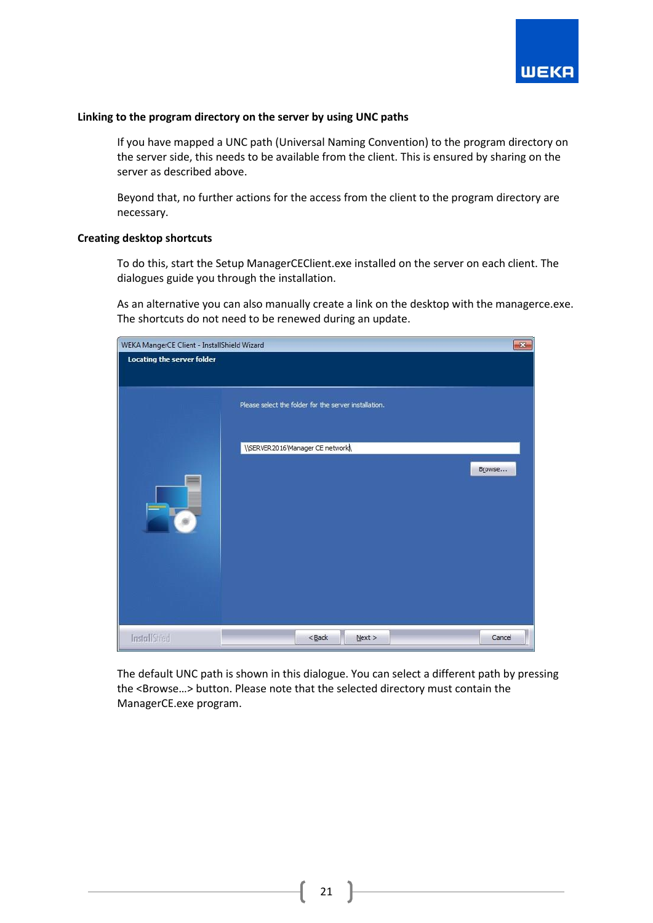

#### **Linking to the program directory on the server by using UNC paths**

If you have mapped a UNC path (Universal Naming Convention) to the program directory on the server side, this needs to be available from the client. This is ensured by sharing on the server as described above.

Beyond that, no further actions for the access from the client to the program directory are necessary.

#### **Creating desktop shortcuts**

To do this, start the Setup ManagerCEClient.exe installed on the server on each client. The dialogues guide you through the installation.

As an alternative you can also manually create a link on the desktop with the managerce.exe. The shortcuts do not need to be renewed during an update.

| $\mathbf{x}$<br>WEKA MangerCE Client - InstallShield Wizard |                                                       |        |  |  |
|-------------------------------------------------------------|-------------------------------------------------------|--------|--|--|
| Locating the server folder                                  |                                                       |        |  |  |
|                                                             |                                                       |        |  |  |
|                                                             | Please select the folder for the server installation. |        |  |  |
|                                                             | \\SERVER2016\Manager CE network\                      |        |  |  |
|                                                             |                                                       | Browse |  |  |
| <b>TO</b>                                                   |                                                       |        |  |  |
|                                                             |                                                       |        |  |  |
|                                                             |                                                       |        |  |  |
|                                                             |                                                       |        |  |  |
|                                                             |                                                       |        |  |  |
| InstallShield                                               | $<$ Back<br>Next >                                    | Cancel |  |  |

The default UNC path is shown in this dialogue. You can select a different path by pressing the <Browse…> button. Please note that the selected directory must contain the ManagerCE.exe program.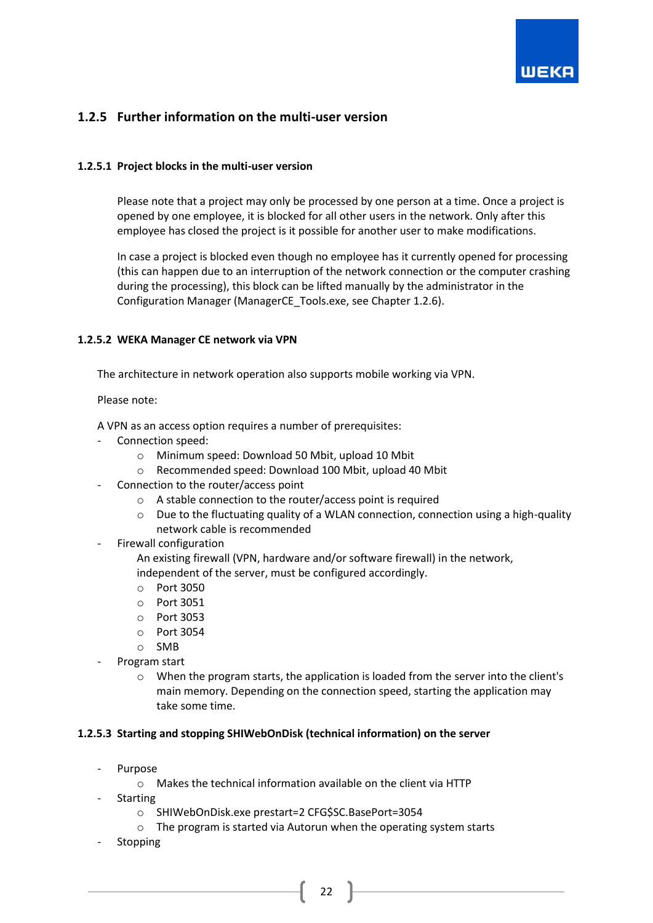

## <span id="page-22-0"></span>**1.2.5 Further information on the multi-user version**

#### <span id="page-22-1"></span>**1.2.5.1 Project blocks in the multi-user version**

Please note that a project may only be processed by one person at a time. Once a project is opened by one employee, it is blocked for all other users in the network. Only after this employee has closed the project is it possible for another user to make modifications.

In case a project is blocked even though no employee has it currently opened for processing (this can happen due to an interruption of the network connection or the computer crashing during the processing), this block can be lifted manually by the administrator in the Configuration Manager (ManagerCE\_Tools.exe, see Chapter 1.2.6).

#### <span id="page-22-2"></span>**1.2.5.2 WEKA Manager CE network via VPN**

The architecture in network operation also supports mobile working via VPN.

Please note:

A VPN as an access option requires a number of prerequisites:

- Connection speed:
	- o Minimum speed: Download 50 Mbit, upload 10 Mbit
	- o Recommended speed: Download 100 Mbit, upload 40 Mbit
- Connection to the router/access point
	- $\circ$  A stable connection to the router/access point is required
	- $\circ$  Due to the fluctuating quality of a WLAN connection, connection using a high-quality network cable is recommended
- Firewall configuration

An existing firewall (VPN, hardware and/or software firewall) in the network, independent of the server, must be configured accordingly.

- o Port 3050
- o Port 3051
- o Port 3053
- o Port 3054
- o SMB
- Program start
	- $\circ$  When the program starts, the application is loaded from the server into the client's main memory. Depending on the connection speed, starting the application may take some time.

#### <span id="page-22-3"></span>**1.2.5.3 Starting and stopping SHIWebOnDisk (technical information) on the server**

- **Purpose** 
	- o Makes the technical information available on the client via HTTP
	- **Starting** 
		- o SHIWebOnDisk.exe prestart=2 CFG\$SC.BasePort=3054
		- o The program is started via Autorun when the operating system starts
- **Stopping**

22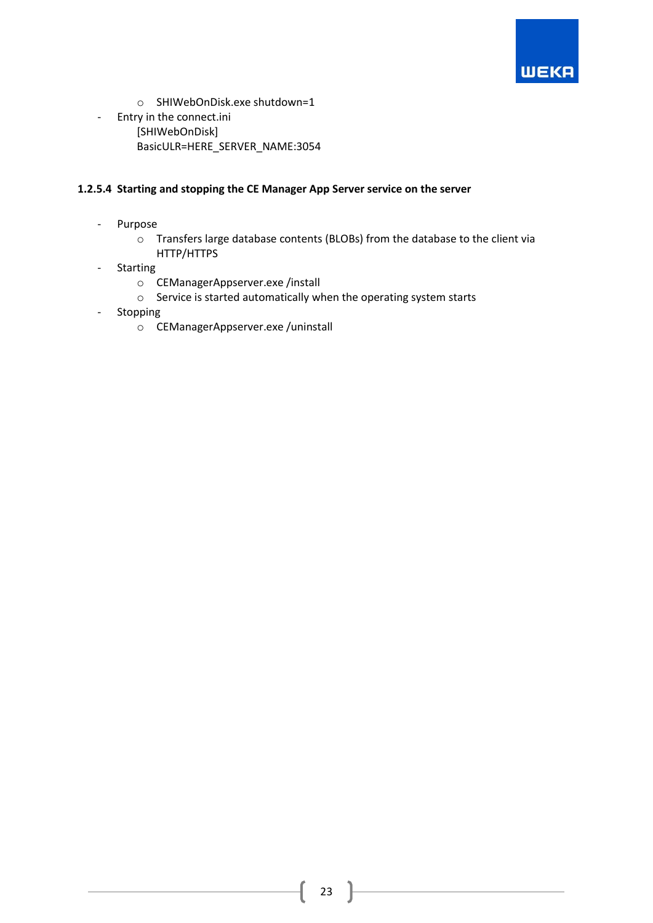

- o SHIWebOnDisk.exe shutdown=1
- Entry in the connect.ini [SHIWebOnDisk] BasicULR=HERE\_SERVER\_NAME:3054

## <span id="page-23-0"></span>**1.2.5.4 Starting and stopping the CE Manager App Server service on the server**

- Purpose
	- o Transfers large database contents (BLOBs) from the database to the client via HTTP/HTTPS
- Starting
	- o CEManagerAppserver.exe /install
	- o Service is started automatically when the operating system starts
- Stopping
	- o CEManagerAppserver.exe /uninstall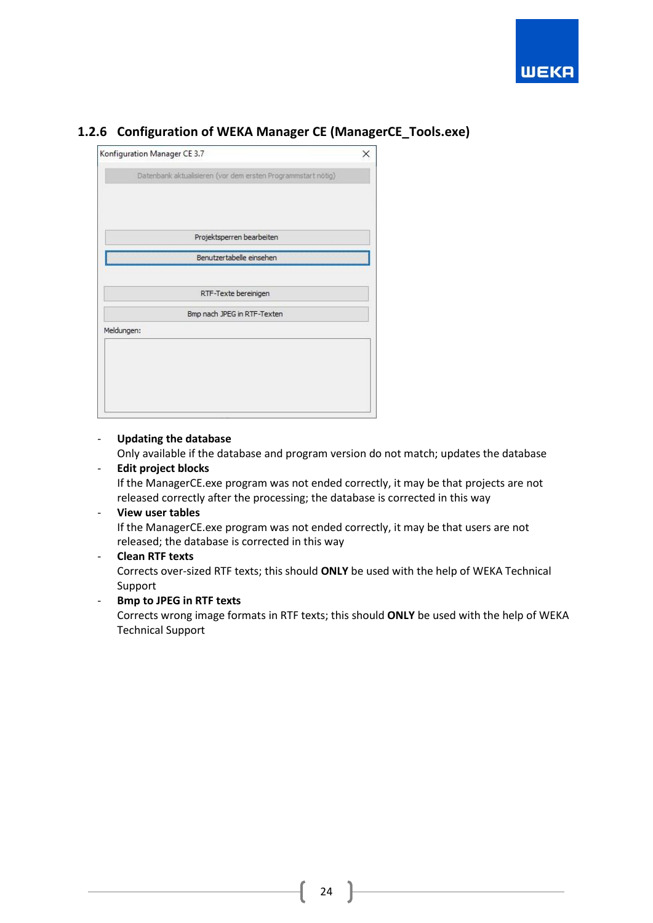



## <span id="page-24-0"></span>**1.2.6 Configuration of WEKA Manager CE (ManagerCE\_Tools.exe)**

- **Updating the database** Only available if the database and program version do not match; updates the database

## - **Edit project blocks**

If the ManagerCE.exe program was not ended correctly, it may be that projects are not released correctly after the processing; the database is corrected in this way

#### - **View user tables**

If the ManagerCE.exe program was not ended correctly, it may be that users are not released; the database is corrected in this way

## - **Clean RTF texts**

Corrects over-sized RTF texts; this should **ONLY** be used with the help of WEKA Technical Support

## - **Bmp to JPEG in RTF texts**

Corrects wrong image formats in RTF texts; this should **ONLY** be used with the help of WEKA Technical Support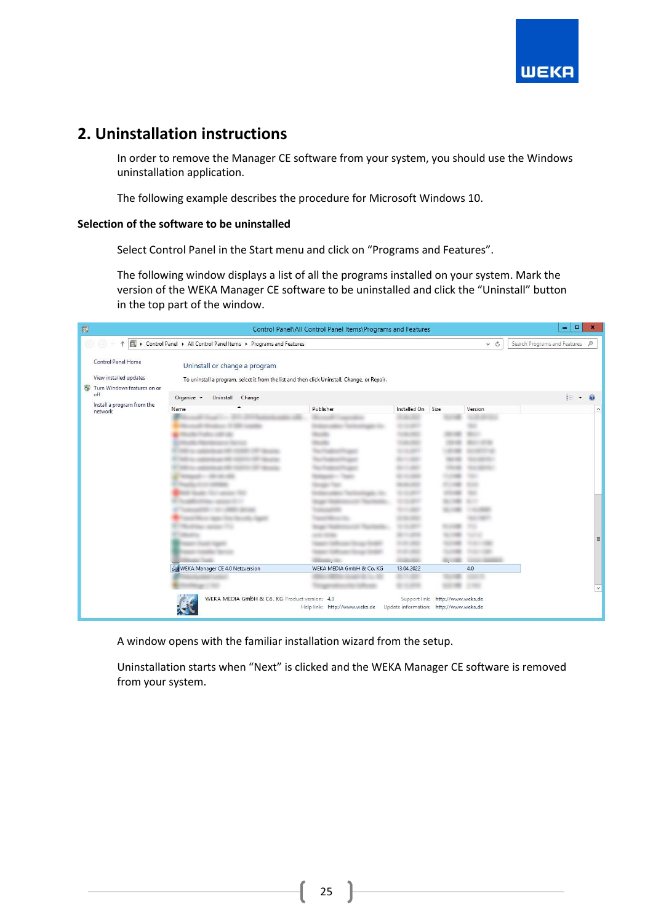

# <span id="page-25-0"></span>**2. Uninstallation instructions**

In order to remove the Manager CE software from your system, you should use the Windows uninstallation application.

The following example describes the procedure for Microsoft Windows 10.

## **Selection of the software to be uninstalled**

Select Control Panel in the Start menu and click on "Programs and Features".

The following window displays a list of all the programs installed on your system. Mark the version of the WEKA Manager CE software to be uninstalled and click the "Uninstall" button in the top part of the window.

| 画                                                                                | Control Panel\All Control Panel Items\Programs and Features                        |                               |                                                                                              |                                 |                   |                                                                            |                                | $\Box$<br>۰ | $\boldsymbol{\mathbf{x}}$ |
|----------------------------------------------------------------------------------|------------------------------------------------------------------------------------|-------------------------------|----------------------------------------------------------------------------------------------|---------------------------------|-------------------|----------------------------------------------------------------------------|--------------------------------|-------------|---------------------------|
| ۰                                                                                | ▶ Control Panel ▶ All Control Panel Items ▶ Programs and Features<br>$\vee$ c<br>Ϋ |                               |                                                                                              |                                 |                   |                                                                            | Search Programs and Features P |             |                           |
| Control Panel Home<br>View installed updates<br>۳<br>Turn Windows features on or |                                                                                    | Uninstall or change a program | To uninstall a program, select it from the list and then click Uninstall, Change, or Repair. |                                 |                   |                                                                            |                                |             |                           |
|                                                                                  | off<br>Install a program from the                                                  | Organize v                    | Uninstall<br>Change                                                                          |                                 |                   |                                                                            |                                | $E = -$     |                           |
|                                                                                  | network                                                                            | Name                          |                                                                                              | Publisher                       | Installed On Size |                                                                            | Version                        |             | $\wedge$                  |
|                                                                                  |                                                                                    |                               |                                                                                              |                                 |                   |                                                                            |                                |             | E                         |
|                                                                                  |                                                                                    |                               | WEKA Manager CE 4.0 Netzversion                                                              | $=$<br>WEKA MEDIA GmbH & Co. KG | 13.04.2022        |                                                                            | 4.0                            |             |                           |
|                                                                                  |                                                                                    |                               |                                                                                              |                                 |                   |                                                                            |                                |             |                           |
|                                                                                  |                                                                                    |                               | WEKA MEDIA GmbH & Co. KG Product version: 4.0                                                | Help link: http://www.weka.de   |                   | Support link: http://www.weka.de<br>Update information: http://www.weka.de |                                |             |                           |

A window opens with the familiar installation wizard from the setup.

Uninstallation starts when "Next" is clicked and the WEKA Manager CE software is removed from your system.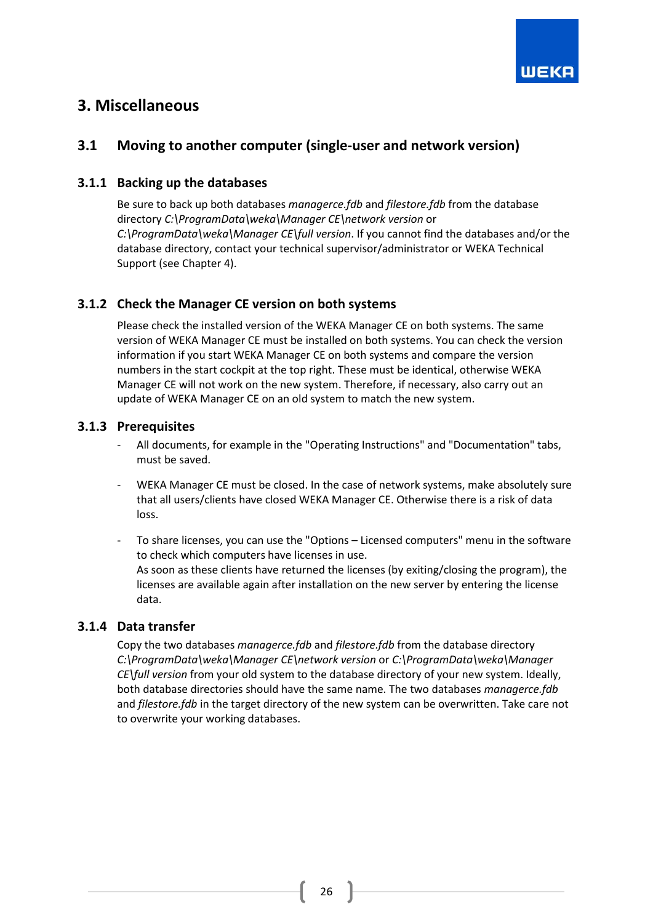

# <span id="page-26-0"></span>**3. Miscellaneous**

## <span id="page-26-1"></span>**3.1 Moving to another computer (single-user and network version)**

## <span id="page-26-2"></span>**3.1.1 Backing up the databases**

Be sure to back up both databases *managerce.fdb* and *filestore.fdb* from the database directory *C:\ProgramData\weka\Manager CE\network version* or *C:\ProgramData\weka\Manager CE\full version*. If you cannot find the databases and/or the database directory, contact your technical supervisor/administrator or WEKA Technical Support (see Chapter 4).

## <span id="page-26-3"></span>**3.1.2 Check the Manager CE version on both systems**

Please check the installed version of the WEKA Manager CE on both systems. The same version of WEKA Manager CE must be installed on both systems. You can check the version information if you start WEKA Manager CE on both systems and compare the version numbers in the start cockpit at the top right. These must be identical, otherwise WEKA Manager CE will not work on the new system. Therefore, if necessary, also carry out an update of WEKA Manager CE on an old system to match the new system.

## <span id="page-26-4"></span>**3.1.3 Prerequisites**

- All documents, for example in the "Operating Instructions" and "Documentation" tabs, must be saved.
- WEKA Manager CE must be closed. In the case of network systems, make absolutely sure that all users/clients have closed WEKA Manager CE. Otherwise there is a risk of data loss.
- To share licenses, you can use the "Options Licensed computers" menu in the software to check which computers have licenses in use. As soon as these clients have returned the licenses (by exiting/closing the program), the licenses are available again after installation on the new server by entering the license data.

## <span id="page-26-5"></span>**3.1.4 Data transfer**

<span id="page-26-6"></span>Copy the two databases *managerce.fdb* and *filestore.fdb* from the database directory *C:\ProgramData\weka\Manager CE\network version* or *C:\ProgramData\weka\Manager CE\full version* from your old system to the database directory of your new system. Ideally, both database directories should have the same name. The two databases *managerce.fdb* and *filestore.fdb* in the target directory of the new system can be overwritten. Take care not to overwrite your working databases.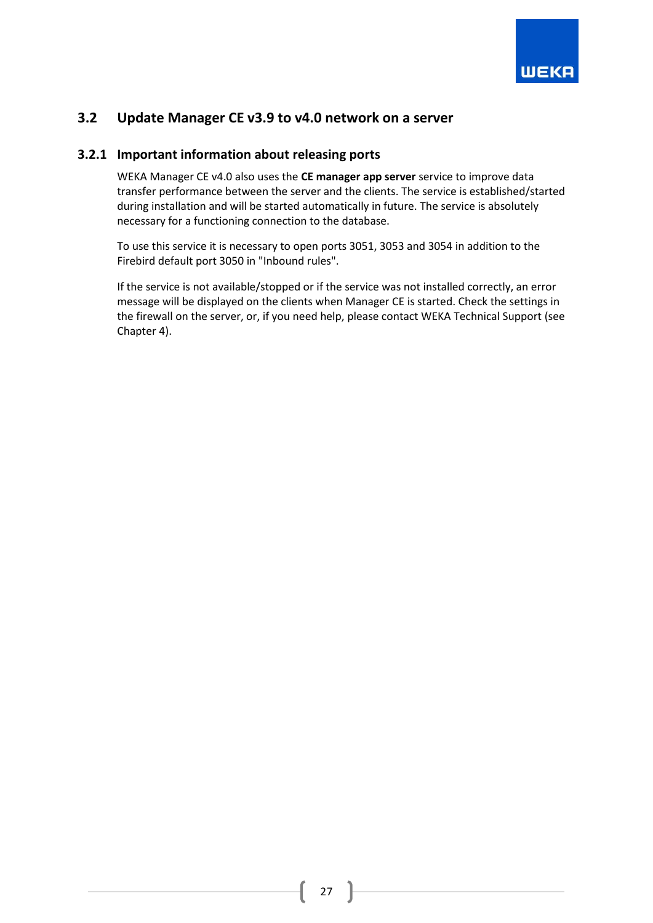

## **3.2 Update Manager CE v3.9 to v4.0 network on a server**

## <span id="page-27-0"></span>**3.2.1 Important information about releasing ports**

WEKA Manager CE v4.0 also uses the **CE manager app server** service to improve data transfer performance between the server and the clients. The service is established/started during installation and will be started automatically in future. The service is absolutely necessary for a functioning connection to the database.

To use this service it is necessary to open ports 3051, 3053 and 3054 in addition to the Firebird default port 3050 in "Inbound rules".

If the service is not available/stopped or if the service was not installed correctly, an error message will be displayed on the clients when Manager CE is started. Check the settings in the firewall on the server, or, if you need help, please contact WEKA Technical Support (see Chapter 4).